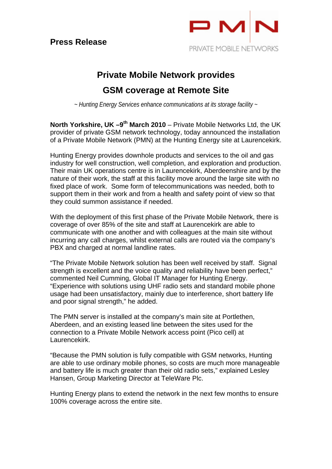

# **Private Mobile Network provides**

## **GSM coverage at Remote Site**

*~ Hunting Energy Services enhance communications at its storage facility ~* 

**North Yorkshire, UK –9<sup>th</sup> March 2010** – Private Mobile Networks Ltd, the UK provider of private GSM network technology, today announced the installation of a Private Mobile Network (PMN) at the Hunting Energy site at Laurencekirk.

Hunting Energy provides downhole products and services to the oil and gas industry for well construction, well completion, and exploration and production. Their main UK operations centre is in Laurencekirk, Aberdeenshire and by the nature of their work, the staff at this facility move around the large site with no fixed place of work. Some form of telecommunications was needed, both to support them in their work and from a health and safety point of view so that they could summon assistance if needed.

With the deployment of this first phase of the Private Mobile Network, there is coverage of over 85% of the site and staff at Laurencekirk are able to communicate with one another and with colleagues at the main site without incurring any call charges, whilst external calls are routed via the company's PBX and charged at normal landline rates.

"The Private Mobile Network solution has been well received by staff. Signal strength is excellent and the voice quality and reliability have been perfect," commented Neil Cumming, Global IT Manager for Hunting Energy. "Experience with solutions using UHF radio sets and standard mobile phone usage had been unsatisfactory, mainly due to interference, short battery life and poor signal strength," he added.

The PMN server is installed at the company's main site at Portlethen, Aberdeen, and an existing leased line between the sites used for the connection to a Private Mobile Network access point (Pico cell) at Laurencekirk.

"Because the PMN solution is fully compatible with GSM networks, Hunting are able to use ordinary mobile phones, so costs are much more manageable and battery life is much greater than their old radio sets," explained Lesley Hansen, Group Marketing Director at TeleWare Plc.

Hunting Energy plans to extend the network in the next few months to ensure 100% coverage across the entire site.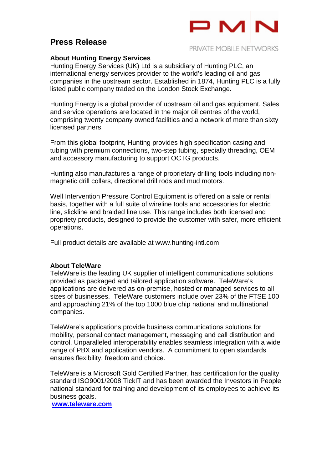### **Press Release**



#### **About Hunting Energy Services**

Hunting Energy Services (UK) Ltd is a subsidiary of Hunting PLC, an international energy services provider to the world's leading oil and gas companies in the upstream sector. Established in 1874, Hunting PLC is a fully listed public company traded on the London Stock Exchange.

Hunting Energy is a global provider of upstream oil and gas equipment. Sales and service operations are located in the major oil centres of the world, comprising twenty company owned facilities and a network of more than sixty licensed partners.

From this global footprint, Hunting provides high specification casing and tubing with premium connections, two-step tubing, specially threading, OEM and accessory manufacturing to support OCTG products.

Hunting also manufactures a range of proprietary drilling tools including nonmagnetic drill collars, directional drill rods and mud motors.

Well Intervention Pressure Control Equipment is offered on a sale or rental basis, together with a full suite of wireline tools and accessories for electric line, slickline and braided line use. This range includes both licensed and propriety products, designed to provide the customer with safer, more efficient operations.

Full product details are available at www.hunting-intl.com

#### **About TeleWare**

TeleWare is the leading UK supplier of intelligent communications solutions provided as packaged and tailored application software. TeleWare's applications are delivered as on-premise, hosted or managed services to all sizes of businesses. TeleWare customers include over 23% of the FTSE 100 and approaching 21% of the top 1000 blue chip national and multinational companies.

TeleWare's applications provide business communications solutions for mobility, personal contact management, messaging and call distribution and control. Unparalleled interoperability enables seamless integration with a wide range of PBX and application vendors. A commitment to open standards ensures flexibility, freedom and choice.

TeleWare is a Microsoft Gold Certified Partner, has certification for the quality standard ISO9001/2008 TickIT and has been awarded the Investors in People national standard for training and development of its employees to achieve its business goals.

**www.teleware.com**